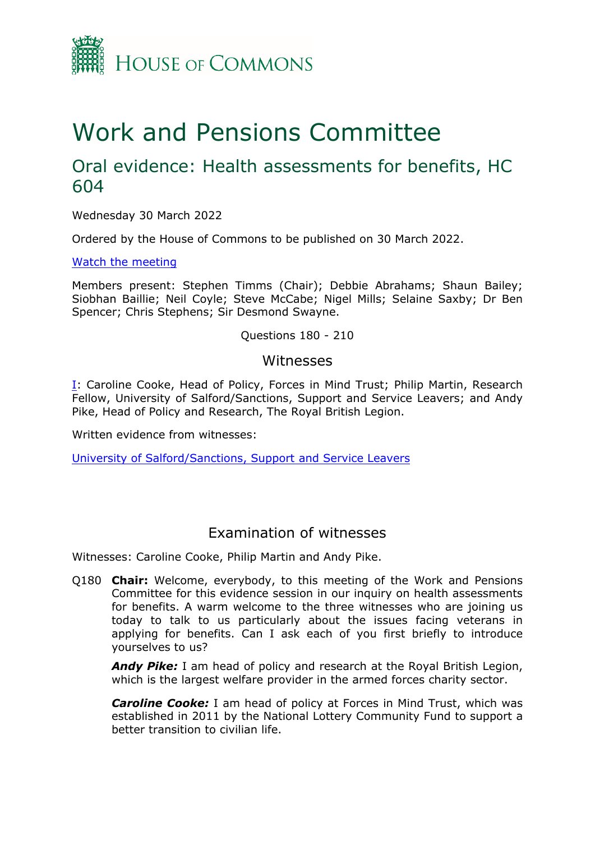

# Work and Pensions Committee

## Oral evidence: Health assessments for benefits, HC 604

Wednesday 30 March 2022

Ordered by the House of Commons to be published on 30 March 2022.

[Watch](https://www.parliamentlive.tv/Event/Index/0aee2aa7-27f5-4564-baaf-c9f14a30e39a) [the](https://www.parliamentlive.tv/Event/Index/0aee2aa7-27f5-4564-baaf-c9f14a30e39a) [meeting](https://www.parliamentlive.tv/Event/Index/0aee2aa7-27f5-4564-baaf-c9f14a30e39a)

Members present: Stephen Timms (Chair); Debbie Abrahams; Shaun Bailey; Siobhan Baillie; Neil Coyle; Steve McCabe; Nigel Mills; Selaine Saxby; Dr Ben Spencer; Chris Stephens; Sir Desmond Swayne.

#### Questions 180 - 210

#### Witnesses

[I:](#page-0-0) Caroline Cooke, Head of Policy, Forces in Mind Trust; Philip Martin, Research Fellow, University of Salford/Sanctions, Support and Service Leavers; and Andy Pike, Head of Policy and Research, The Royal British Legion.

Written evidence from witnesses:

[University](https://committees.parliament.uk/writtenevidence/40718/pdf/) [of](https://committees.parliament.uk/writtenevidence/40718/pdf/) [Salford/Sanctions,](https://committees.parliament.uk/writtenevidence/40718/pdf/) [Support](https://committees.parliament.uk/writtenevidence/40718/pdf/) [and](https://committees.parliament.uk/writtenevidence/40718/pdf/) [Service](https://committees.parliament.uk/writtenevidence/40718/pdf/) [Leavers](https://committees.parliament.uk/writtenevidence/40718/pdf/)

### <span id="page-0-0"></span>Examination of witnesses

Witnesses: Caroline Cooke, Philip Martin and Andy Pike.

Q180 **Chair:** Welcome, everybody, to this meeting of the Work and Pensions Committee for this evidence session in our inquiry on health assessments for benefits. A warm welcome to the three witnesses who are joining us today to talk to us particularly about the issues facing veterans in applying for benefits. Can I ask each of you first briefly to introduce yourselves to us?

*Andy Pike:* I am head of policy and research at the Royal British Legion, which is the largest welfare provider in the armed forces charity sector.

*Caroline Cooke:* I am head of policy at Forces in Mind Trust, which was established in 2011 by the National Lottery Community Fund to support a better transition to civilian life.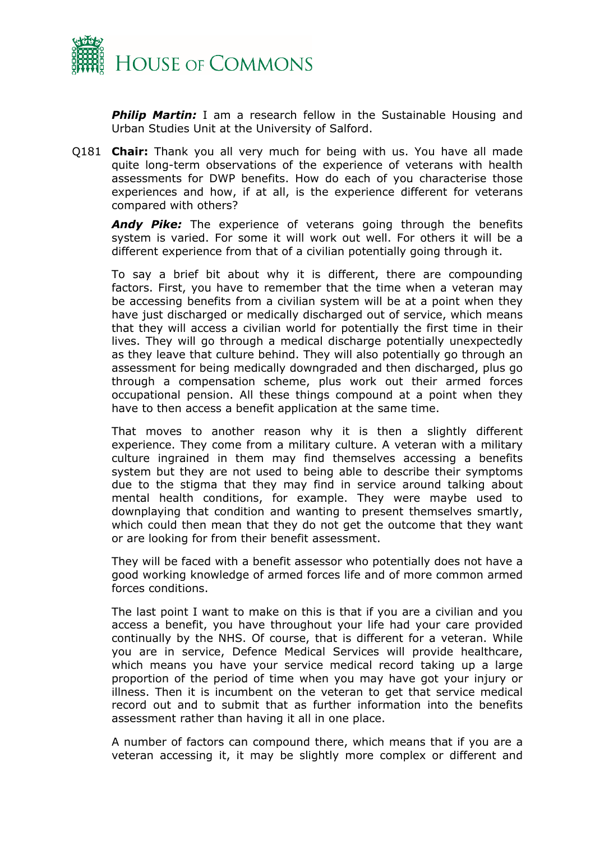

**Philip Martin:** I am a research fellow in the Sustainable Housing and Urban Studies Unit at the University of Salford.

Q181 **Chair:** Thank you all very much for being with us. You have all made quite long-term observations of the experience of veterans with health assessments for DWP benefits. How do each of you characterise those experiences and how, if at all, is the experience different for veterans compared with others?

*Andy Pike:* The experience of veterans going through the benefits system is varied. For some it will work out well. For others it will be a different experience from that of a civilian potentially going through it.

To say a brief bit about why it is different, there are compounding factors. First, you have to remember that the time when a veteran may be accessing benefits from a civilian system will be at a point when they have just discharged or medically discharged out of service, which means that they will access a civilian world for potentially the first time in their lives. They will go through a medical discharge potentially unexpectedly as they leave that culture behind. They will also potentially go through an assessment for being medically downgraded and then discharged, plus go through a compensation scheme, plus work out their armed forces occupational pension. All these things compound at a point when they have to then access a benefit application at the same time.

That moves to another reason why it is then a slightly different experience. They come from a military culture. A veteran with a military culture ingrained in them may find themselves accessing a benefits system but they are not used to being able to describe their symptoms due to the stigma that they may find in service around talking about mental health conditions, for example. They were maybe used to downplaying that condition and wanting to present themselves smartly, which could then mean that they do not get the outcome that they want or are looking for from their benefit assessment.

They will be faced with a benefit assessor who potentially does not have a good working knowledge of armed forces life and of more common armed forces conditions.

The last point I want to make on this is that if you are a civilian and you access a benefit, you have throughout your life had your care provided continually by the NHS. Of course, that is different for a veteran. While you are in service, Defence Medical Services will provide healthcare, which means you have your service medical record taking up a large proportion of the period of time when you may have got your injury or illness. Then it is incumbent on the veteran to get that service medical record out and to submit that as further information into the benefits assessment rather than having it all in one place.

A number of factors can compound there, which means that if you are a veteran accessing it, it may be slightly more complex or different and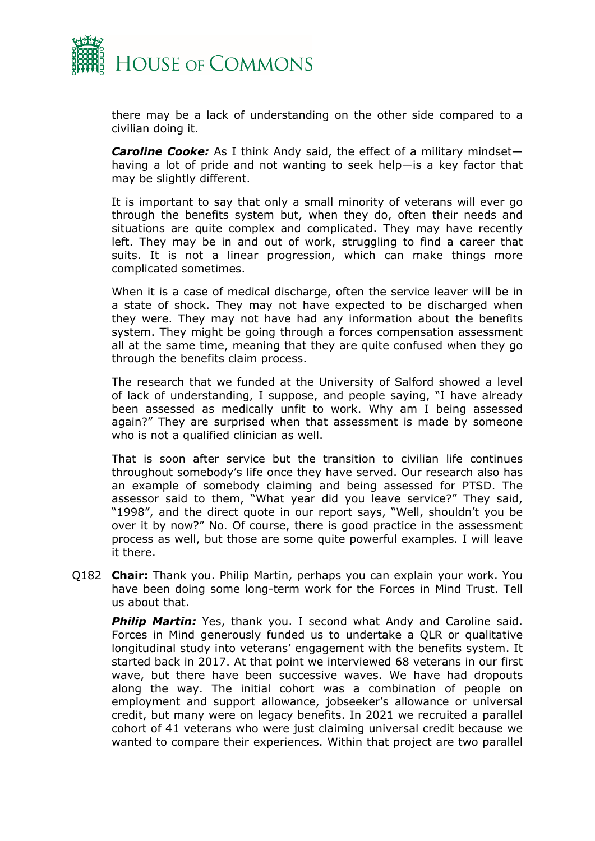

there may be a lack of understanding on the other side compared to a civilian doing it.

*Caroline Cooke:* As I think Andy said, the effect of a military mindset having a lot of pride and not wanting to seek help—is a key factor that may be slightly different.

It is important to say that only a small minority of veterans will ever go through the benefits system but, when they do, often their needs and situations are quite complex and complicated. They may have recently left. They may be in and out of work, struggling to find a career that suits. It is not a linear progression, which can make things more complicated sometimes.

When it is a case of medical discharge, often the service leaver will be in a state of shock. They may not have expected to be discharged when they were. They may not have had any information about the benefits system. They might be going through a forces compensation assessment all at the same time, meaning that they are quite confused when they go through the benefits claim process.

The research that we funded at the University of Salford showed a level of lack of understanding, I suppose, and people saying, "I have already been assessed as medically unfit to work. Why am I being assessed again?" They are surprised when that assessment is made by someone who is not a qualified clinician as well.

That is soon after service but the transition to civilian life continues throughout somebody's life once they have served. Our research also has an example of somebody claiming and being assessed for PTSD. The assessor said to them, "What year did you leave service?" They said, "1998", and the direct quote in our report says, "Well, shouldn't you be over it by now?" No. Of course, there is good practice in the assessment process as well, but those are some quite powerful examples. I will leave it there.

Q182 **Chair:** Thank you. Philip Martin, perhaps you can explain your work. You have been doing some long-term work for the Forces in Mind Trust. Tell us about that.

**Philip Martin:** Yes, thank you. I second what Andy and Caroline said. Forces in Mind generously funded us to undertake a QLR or qualitative longitudinal study into veterans' engagement with the benefits system. It started back in 2017. At that point we interviewed 68 veterans in our first wave, but there have been successive waves. We have had dropouts along the way. The initial cohort was a combination of people on employment and support allowance, jobseeker's allowance or universal credit, but many were on legacy benefits. In 2021 we recruited a parallel cohort of 41 veterans who were just claiming universal credit because we wanted to compare their experiences. Within that project are two parallel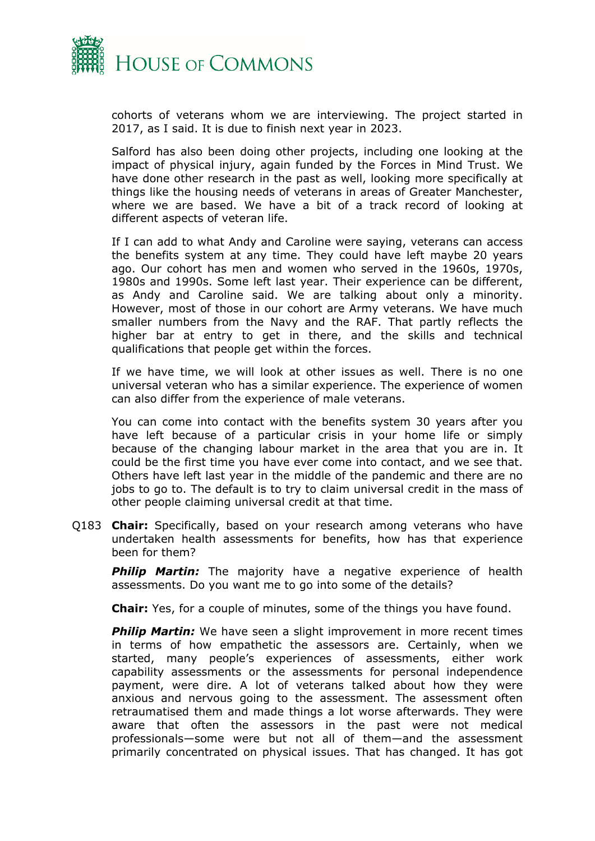

cohorts of veterans whom we are interviewing. The project started in 2017, as I said. It is due to finish next year in 2023.

Salford has also been doing other projects, including one looking at the impact of physical injury, again funded by the Forces in Mind Trust. We have done other research in the past as well, looking more specifically at things like the housing needs of veterans in areas of Greater Manchester, where we are based. We have a bit of a track record of looking at different aspects of veteran life.

If I can add to what Andy and Caroline were saying, veterans can access the benefits system at any time. They could have left maybe 20 years ago. Our cohort has men and women who served in the 1960s, 1970s, 1980s and 1990s. Some left last year. Their experience can be different, as Andy and Caroline said. We are talking about only a minority. However, most of those in our cohort are Army veterans. We have much smaller numbers from the Navy and the RAF. That partly reflects the higher bar at entry to get in there, and the skills and technical qualifications that people get within the forces.

If we have time, we will look at other issues as well. There is no one universal veteran who has a similar experience. The experience of women can also differ from the experience of male veterans.

You can come into contact with the benefits system 30 years after you have left because of a particular crisis in your home life or simply because of the changing labour market in the area that you are in. It could be the first time you have ever come into contact, and we see that. Others have left last year in the middle of the pandemic and there are no jobs to go to. The default is to try to claim universal credit in the mass of other people claiming universal credit at that time.

Q183 **Chair:** Specifically, based on your research among veterans who have undertaken health assessments for benefits, how has that experience been for them?

**Philip Martin:** The majority have a negative experience of health assessments. Do you want me to go into some of the details?

**Chair:** Yes, for a couple of minutes, some of the things you have found.

**Philip Martin:** We have seen a slight improvement in more recent times in terms of how empathetic the assessors are. Certainly, when we started, many people's experiences of assessments, either work capability assessments or the assessments for personal independence payment, were dire. A lot of veterans talked about how they were anxious and nervous going to the assessment. The assessment often retraumatised them and made things a lot worse afterwards. They were aware that often the assessors in the past were not medical professionals—some were but not all of them—and the assessment primarily concentrated on physical issues. That has changed. It has got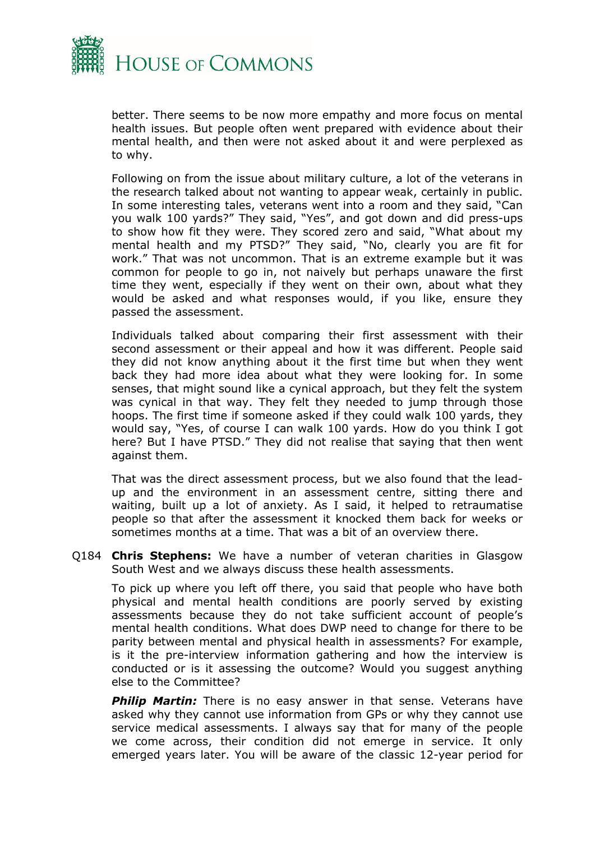

better. There seems to be now more empathy and more focus on mental health issues. But people often went prepared with evidence about their mental health, and then were not asked about it and were perplexed as to why.

Following on from the issue about military culture, a lot of the veterans in the research talked about not wanting to appear weak, certainly in public. In some interesting tales, veterans went into a room and they said, "Can you walk 100 yards?" They said, "Yes", and got down and did press-ups to show how fit they were. They scored zero and said, "What about my mental health and my PTSD?" They said, "No, clearly you are fit for work." That was not uncommon. That is an extreme example but it was common for people to go in, not naively but perhaps unaware the first time they went, especially if they went on their own, about what they would be asked and what responses would, if you like, ensure they passed the assessment.

Individuals talked about comparing their first assessment with their second assessment or their appeal and how it was different. People said they did not know anything about it the first time but when they went back they had more idea about what they were looking for. In some senses, that might sound like a cynical approach, but they felt the system was cynical in that way. They felt they needed to jump through those hoops. The first time if someone asked if they could walk 100 yards, they would say, "Yes, of course I can walk 100 yards. How do you think I got here? But I have PTSD." They did not realise that saying that then went against them.

That was the direct assessment process, but we also found that the leadup and the environment in an assessment centre, sitting there and waiting, built up a lot of anxiety. As I said, it helped to retraumatise people so that after the assessment it knocked them back for weeks or sometimes months at a time. That was a bit of an overview there.

Q184 **Chris Stephens:** We have a number of veteran charities in Glasgow South West and we always discuss these health assessments.

To pick up where you left off there, you said that people who have both physical and mental health conditions are poorly served by existing assessments because they do not take sufficient account of people's mental health conditions. What does DWP need to change for there to be parity between mental and physical health in assessments? For example, is it the pre-interview information gathering and how the interview is conducted or is it assessing the outcome? Would you suggest anything else to the Committee?

**Philip Martin:** There is no easy answer in that sense. Veterans have asked why they cannot use information from GPs or why they cannot use service medical assessments. I always say that for many of the people we come across, their condition did not emerge in service. It only emerged years later. You will be aware of the classic 12-year period for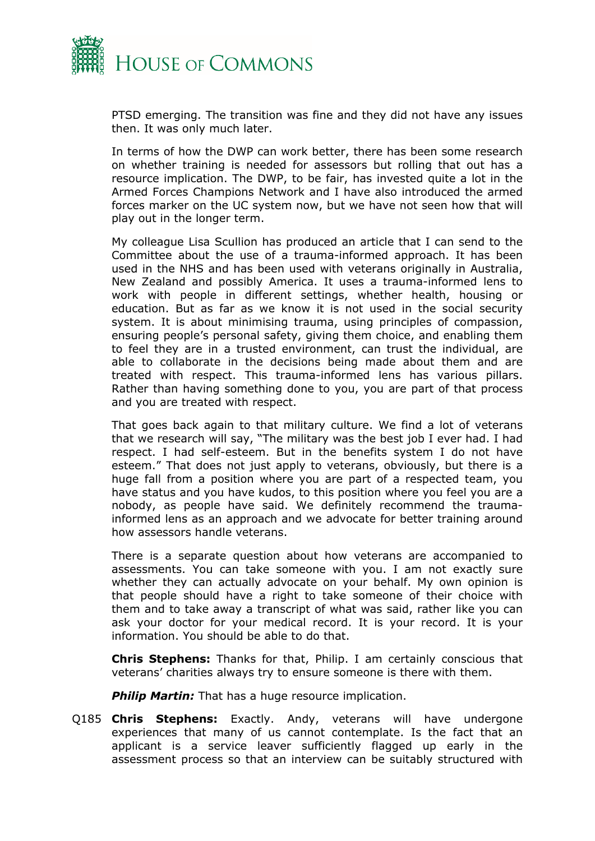

PTSD emerging. The transition was fine and they did not have any issues then. It was only much later.

In terms of how the DWP can work better, there has been some research on whether training is needed for assessors but rolling that out has a resource implication. The DWP, to be fair, has invested quite a lot in the Armed Forces Champions Network and I have also introduced the armed forces marker on the UC system now, but we have not seen how that will play out in the longer term.

My colleague Lisa Scullion has produced an article that I can send to the Committee about the use of a trauma-informed approach. It has been used in the NHS and has been used with veterans originally in Australia, New Zealand and possibly America. It uses a trauma-informed lens to work with people in different settings, whether health, housing or education. But as far as we know it is not used in the social security system. It is about minimising trauma, using principles of compassion, ensuring people's personal safety, giving them choice, and enabling them to feel they are in a trusted environment, can trust the individual, are able to collaborate in the decisions being made about them and are treated with respect. This trauma-informed lens has various pillars. Rather than having something done to you, you are part of that process and you are treated with respect.

That goes back again to that military culture. We find a lot of veterans that we research will say, "The military was the best job I ever had. I had respect. I had self-esteem. But in the benefits system I do not have esteem." That does not just apply to veterans, obviously, but there is a huge fall from a position where you are part of a respected team, you have status and you have kudos, to this position where you feel you are a nobody, as people have said. We definitely recommend the traumainformed lens as an approach and we advocate for better training around how assessors handle veterans.

There is a separate question about how veterans are accompanied to assessments. You can take someone with you. I am not exactly sure whether they can actually advocate on your behalf. My own opinion is that people should have a right to take someone of their choice with them and to take away a transcript of what was said, rather like you can ask your doctor for your medical record. It is your record. It is your information. You should be able to do that.

**Chris Stephens:** Thanks for that, Philip. I am certainly conscious that veterans' charities always try to ensure someone is there with them.

**Philip Martin:** That has a huge resource implication.

Q185 **Chris Stephens:** Exactly. Andy, veterans will have undergone experiences that many of us cannot contemplate. Is the fact that an applicant is a service leaver sufficiently flagged up early in the assessment process so that an interview can be suitably structured with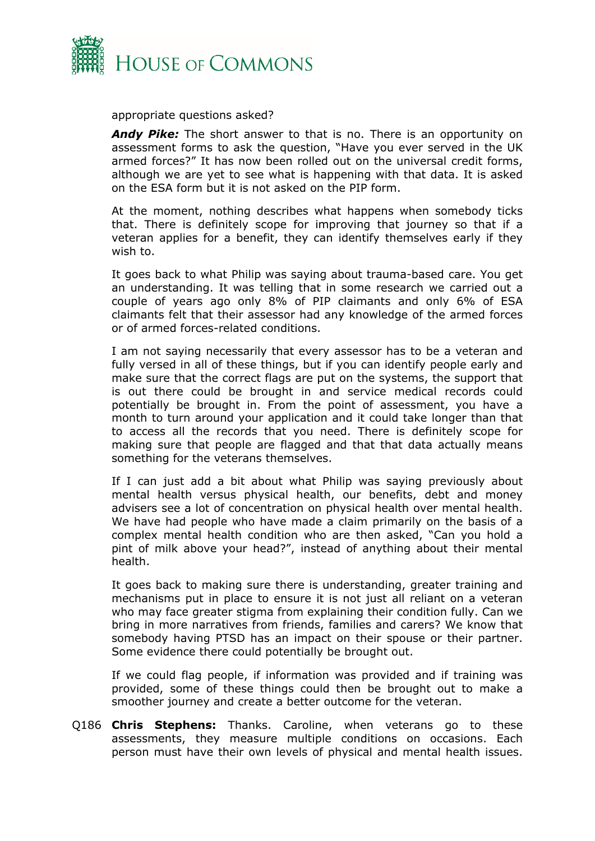

appropriate questions asked?

*Andy Pike:* The short answer to that is no. There is an opportunity on assessment forms to ask the question, "Have you ever served in the UK armed forces?" It has now been rolled out on the universal credit forms, although we are yet to see what is happening with that data. It is asked on the ESA form but it is not asked on the PIP form.

At the moment, nothing describes what happens when somebody ticks that. There is definitely scope for improving that journey so that if a veteran applies for a benefit, they can identify themselves early if they wish to.

It goes back to what Philip was saying about trauma-based care. You get an understanding. It was telling that in some research we carried out a couple of years ago only 8% of PIP claimants and only 6% of ESA claimants felt that their assessor had any knowledge of the armed forces or of armed forces-related conditions.

I am not saying necessarily that every assessor has to be a veteran and fully versed in all of these things, but if you can identify people early and make sure that the correct flags are put on the systems, the support that is out there could be brought in and service medical records could potentially be brought in. From the point of assessment, you have a month to turn around your application and it could take longer than that to access all the records that you need. There is definitely scope for making sure that people are flagged and that that data actually means something for the veterans themselves.

If I can just add a bit about what Philip was saying previously about mental health versus physical health, our benefits, debt and money advisers see a lot of concentration on physical health over mental health. We have had people who have made a claim primarily on the basis of a complex mental health condition who are then asked, "Can you hold a pint of milk above your head?", instead of anything about their mental health.

It goes back to making sure there is understanding, greater training and mechanisms put in place to ensure it is not just all reliant on a veteran who may face greater stigma from explaining their condition fully. Can we bring in more narratives from friends, families and carers? We know that somebody having PTSD has an impact on their spouse or their partner. Some evidence there could potentially be brought out.

If we could flag people, if information was provided and if training was provided, some of these things could then be brought out to make a smoother journey and create a better outcome for the veteran.

Q186 **Chris Stephens:** Thanks. Caroline, when veterans go to these assessments, they measure multiple conditions on occasions. Each person must have their own levels of physical and mental health issues.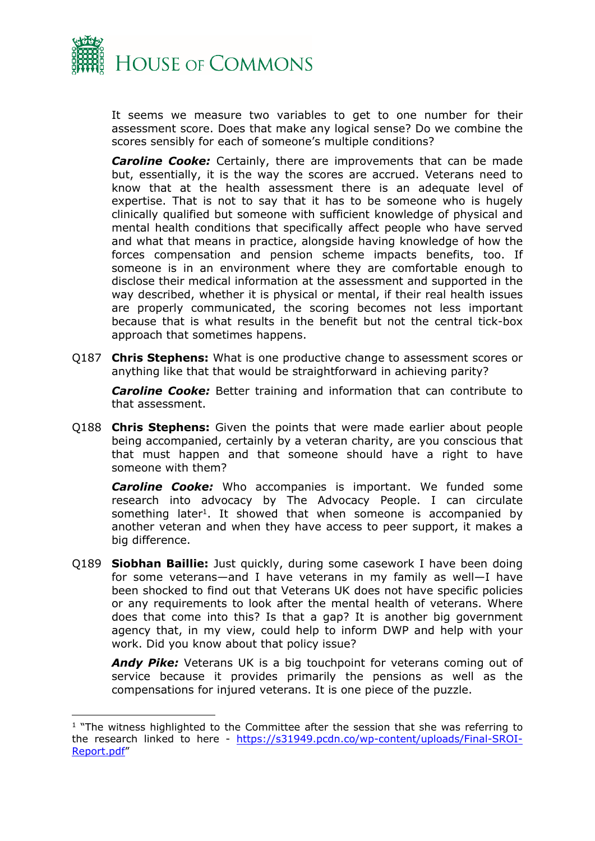

It seems we measure two variables to get to one number for their assessment score. Does that make any logical sense? Do we combine the scores sensibly for each of someone's multiple conditions?

*Caroline Cooke:* Certainly, there are improvements that can be made but, essentially, it is the way the scores are accrued. Veterans need to know that at the health assessment there is an adequate level of expertise. That is not to say that it has to be someone who is hugely clinically qualified but someone with sufficient knowledge of physical and mental health conditions that specifically affect people who have served and what that means in practice, alongside having knowledge of how the forces compensation and pension scheme impacts benefits, too. If someone is in an environment where they are comfortable enough to disclose their medical information at the assessment and supported in the way described, whether it is physical or mental, if their real health issues are properly communicated, the scoring becomes not less important because that is what results in the benefit but not the central tick-box approach that sometimes happens.

Q187 **Chris Stephens:** What is one productive change to assessment scores or anything like that that would be straightforward in achieving parity?

*Caroline Cooke:* Better training and information that can contribute to that assessment.

Q188 **Chris Stephens:** Given the points that were made earlier about people being accompanied, certainly by a veteran charity, are you conscious that that must happen and that someone should have a right to have someone with them?

*Caroline Cooke:* Who accompanies is important. We funded some research into advocacy by The Advocacy People. I can circulate something later<sup>1</sup>. It showed that when someone is accompanied by another veteran and when they have access to peer support, it makes a big difference.

Q189 **Siobhan Baillie:** Just quickly, during some casework I have been doing for some veterans—and I have veterans in my family as well—I have been shocked to find out that Veterans UK does not have specific policies or any requirements to look after the mental health of veterans. Where does that come into this? Is that a gap? It is another big government agency that, in my view, could help to inform DWP and help with your work. Did you know about that policy issue?

*Andy Pike:* Veterans UK is a big touchpoint for veterans coming out of service because it provides primarily the pensions as well as the compensations for injured veterans. It is one piece of the puzzle.

<sup>&</sup>lt;sup>1</sup> "The witness highlighted to the Committee after the session that she was referring to the research linked to here - [https://s31949.pcdn.co/wp-content/uploads/Final-SROI-](https://s31949.pcdn.co/wp-content/uploads/Final-SROI-Report.pdf)[Report.pdf"](https://s31949.pcdn.co/wp-content/uploads/Final-SROI-Report.pdf)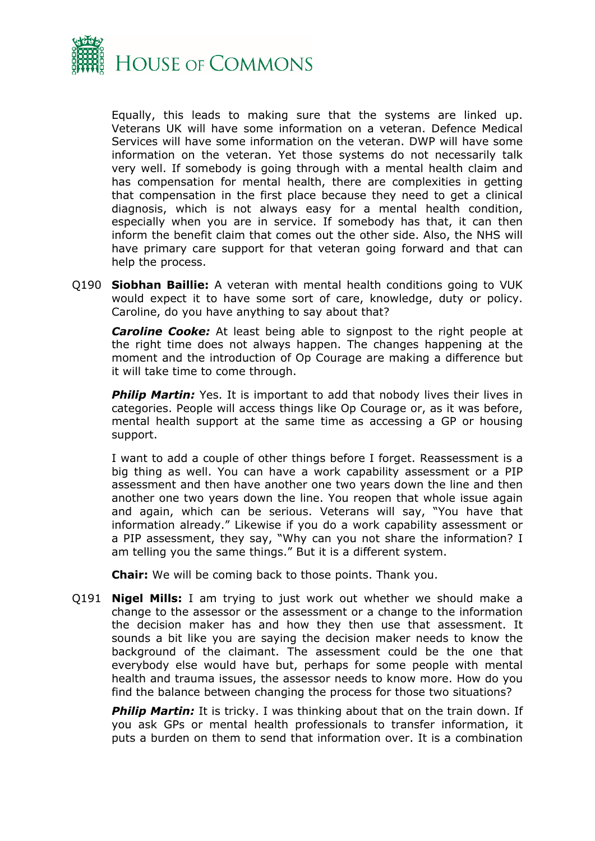

Equally, this leads to making sure that the systems are linked up. Veterans UK will have some information on a veteran. Defence Medical Services will have some information on the veteran. DWP will have some information on the veteran. Yet those systems do not necessarily talk very well. If somebody is going through with a mental health claim and has compensation for mental health, there are complexities in getting that compensation in the first place because they need to get a clinical diagnosis, which is not always easy for a mental health condition, especially when you are in service. If somebody has that, it can then inform the benefit claim that comes out the other side. Also, the NHS will have primary care support for that veteran going forward and that can help the process.

Q190 **Siobhan Baillie:** A veteran with mental health conditions going to VUK would expect it to have some sort of care, knowledge, duty or policy. Caroline, do you have anything to say about that?

*Caroline Cooke:* At least being able to signpost to the right people at the right time does not always happen. The changes happening at the moment and the introduction of Op Courage are making a difference but it will take time to come through.

*Philip Martin:* Yes. It is important to add that nobody lives their lives in categories. People will access things like Op Courage or, as it was before, mental health support at the same time as accessing a GP or housing support.

I want to add a couple of other things before I forget. Reassessment is a big thing as well. You can have a work capability assessment or a PIP assessment and then have another one two years down the line and then another one two years down the line. You reopen that whole issue again and again, which can be serious. Veterans will say, "You have that information already." Likewise if you do a work capability assessment or a PIP assessment, they say, "Why can you not share the information? I am telling you the same things." But it is a different system.

**Chair:** We will be coming back to those points. Thank you.

Q191 **Nigel Mills:** I am trying to just work out whether we should make a change to the assessor or the assessment or a change to the information the decision maker has and how they then use that assessment. It sounds a bit like you are saying the decision maker needs to know the background of the claimant. The assessment could be the one that everybody else would have but, perhaps for some people with mental health and trauma issues, the assessor needs to know more. How do you find the balance between changing the process for those two situations?

*Philip Martin:* It is tricky. I was thinking about that on the train down. If you ask GPs or mental health professionals to transfer information, it puts a burden on them to send that information over. It is a combination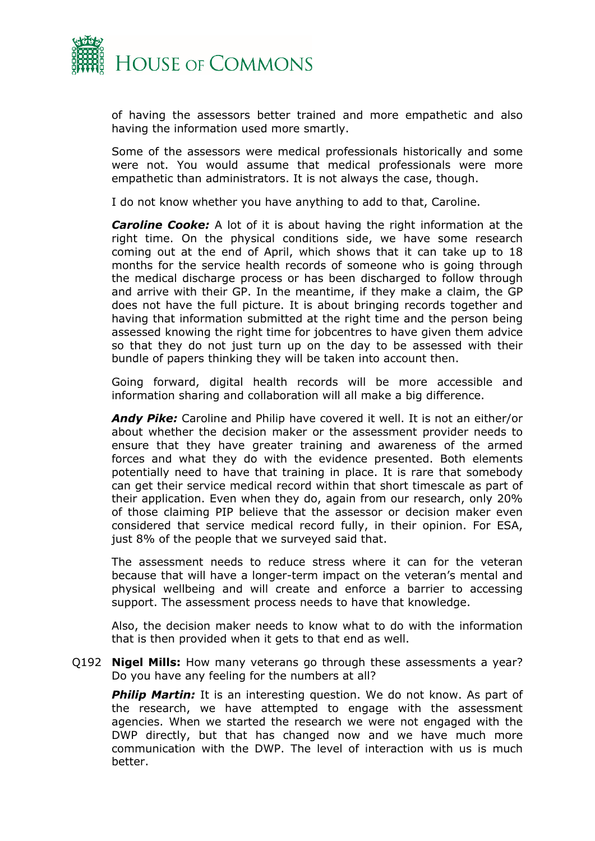

of having the assessors better trained and more empathetic and also having the information used more smartly.

Some of the assessors were medical professionals historically and some were not. You would assume that medical professionals were more empathetic than administrators. It is not always the case, though.

I do not know whether you have anything to add to that, Caroline.

*Caroline Cooke:* A lot of it is about having the right information at the right time. On the physical conditions side, we have some research coming out at the end of April, which shows that it can take up to 18 months for the service health records of someone who is going through the medical discharge process or has been discharged to follow through and arrive with their GP. In the meantime, if they make a claim, the GP does not have the full picture. It is about bringing records together and having that information submitted at the right time and the person being assessed knowing the right time for jobcentres to have given them advice so that they do not just turn up on the day to be assessed with their bundle of papers thinking they will be taken into account then.

Going forward, digital health records will be more accessible and information sharing and collaboration will all make a big difference.

*Andy Pike:* Caroline and Philip have covered it well. It is not an either/or about whether the decision maker or the assessment provider needs to ensure that they have greater training and awareness of the armed forces and what they do with the evidence presented. Both elements potentially need to have that training in place. It is rare that somebody can get their service medical record within that short timescale as part of their application. Even when they do, again from our research, only 20% of those claiming PIP believe that the assessor or decision maker even considered that service medical record fully, in their opinion. For ESA, just 8% of the people that we surveyed said that.

The assessment needs to reduce stress where it can for the veteran because that will have a longer-term impact on the veteran's mental and physical wellbeing and will create and enforce a barrier to accessing support. The assessment process needs to have that knowledge.

Also, the decision maker needs to know what to do with the information that is then provided when it gets to that end as well.

Q192 **Nigel Mills:** How many veterans go through these assessments a year? Do you have any feeling for the numbers at all?

*Philip Martin:* It is an interesting question. We do not know. As part of the research, we have attempted to engage with the assessment agencies. When we started the research we were not engaged with the DWP directly, but that has changed now and we have much more communication with the DWP. The level of interaction with us is much better.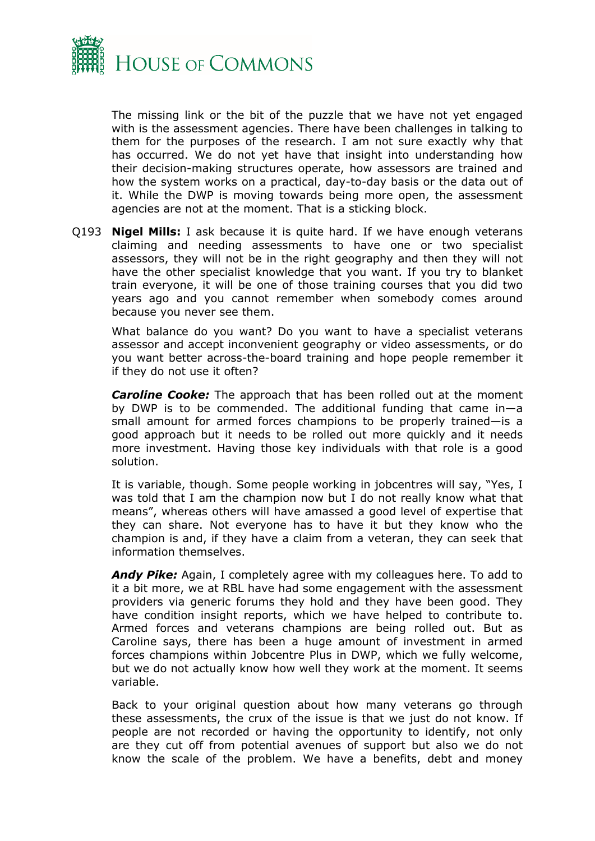

The missing link or the bit of the puzzle that we have not yet engaged with is the assessment agencies. There have been challenges in talking to them for the purposes of the research. I am not sure exactly why that has occurred. We do not yet have that insight into understanding how their decision-making structures operate, how assessors are trained and how the system works on a practical, day-to-day basis or the data out of it. While the DWP is moving towards being more open, the assessment agencies are not at the moment. That is a sticking block.

Q193 **Nigel Mills:** I ask because it is quite hard. If we have enough veterans claiming and needing assessments to have one or two specialist assessors, they will not be in the right geography and then they will not have the other specialist knowledge that you want. If you try to blanket train everyone, it will be one of those training courses that you did two years ago and you cannot remember when somebody comes around because you never see them.

What balance do you want? Do you want to have a specialist veterans assessor and accept inconvenient geography or video assessments, or do you want better across-the-board training and hope people remember it if they do not use it often?

*Caroline Cooke:* The approach that has been rolled out at the moment by DWP is to be commended. The additional funding that came in—a small amount for armed forces champions to be properly trained—is a good approach but it needs to be rolled out more quickly and it needs more investment. Having those key individuals with that role is a good solution.

It is variable, though. Some people working in jobcentres will say, "Yes, I was told that I am the champion now but I do not really know what that means", whereas others will have amassed a good level of expertise that they can share. Not everyone has to have it but they know who the champion is and, if they have a claim from a veteran, they can seek that information themselves.

*Andy Pike:* Again, I completely agree with my colleagues here. To add to it a bit more, we at RBL have had some engagement with the assessment providers via generic forums they hold and they have been good. They have condition insight reports, which we have helped to contribute to. Armed forces and veterans champions are being rolled out. But as Caroline says, there has been a huge amount of investment in armed forces champions within Jobcentre Plus in DWP, which we fully welcome, but we do not actually know how well they work at the moment. It seems variable.

Back to your original question about how many veterans go through these assessments, the crux of the issue is that we just do not know. If people are not recorded or having the opportunity to identify, not only are they cut off from potential avenues of support but also we do not know the scale of the problem. We have a benefits, debt and money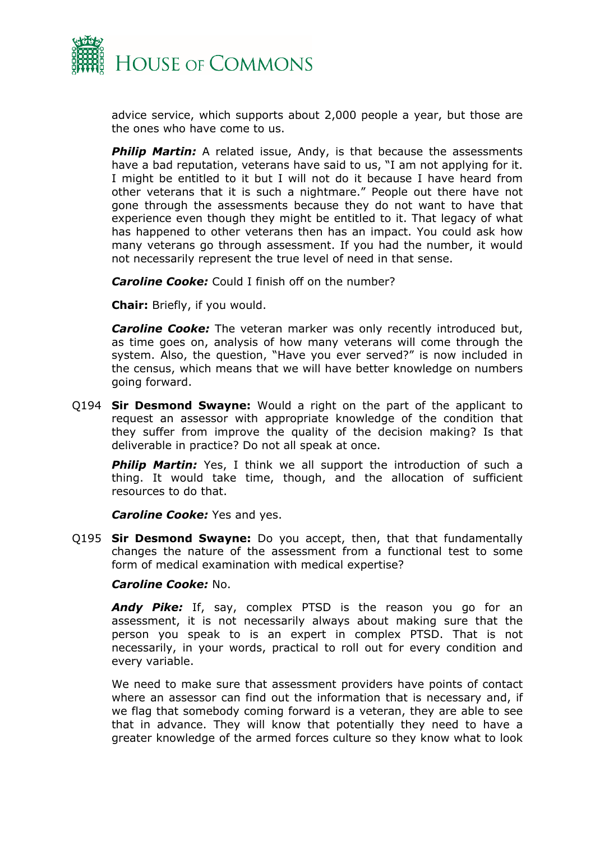

advice service, which supports about 2,000 people a year, but those are the ones who have come to us.

**Philip Martin:** A related issue, Andy, is that because the assessments have a bad reputation, veterans have said to us, "I am not applying for it. I might be entitled to it but I will not do it because I have heard from other veterans that it is such a nightmare." People out there have not gone through the assessments because they do not want to have that experience even though they might be entitled to it. That legacy of what has happened to other veterans then has an impact. You could ask how many veterans go through assessment. If you had the number, it would not necessarily represent the true level of need in that sense.

*Caroline Cooke:* Could I finish off on the number?

**Chair:** Briefly, if you would.

*Caroline Cooke:* The veteran marker was only recently introduced but, as time goes on, analysis of how many veterans will come through the system. Also, the question, "Have you ever served?" is now included in the census, which means that we will have better knowledge on numbers going forward.

Q194 **Sir Desmond Swayne:** Would a right on the part of the applicant to request an assessor with appropriate knowledge of the condition that they suffer from improve the quality of the decision making? Is that deliverable in practice? Do not all speak at once.

*Philip Martin:* Yes, I think we all support the introduction of such a thing. It would take time, though, and the allocation of sufficient resources to do that.

*Caroline Cooke: Yes and yes.* 

Q195 **Sir Desmond Swayne:** Do you accept, then, that that fundamentally changes the nature of the assessment from a functional test to some form of medical examination with medical expertise?

#### *Caroline Cooke:* No.

*Andy Pike:* If, say, complex PTSD is the reason you go for an assessment, it is not necessarily always about making sure that the person you speak to is an expert in complex PTSD. That is not necessarily, in your words, practical to roll out for every condition and every variable.

We need to make sure that assessment providers have points of contact where an assessor can find out the information that is necessary and, if we flag that somebody coming forward is a veteran, they are able to see that in advance. They will know that potentially they need to have a greater knowledge of the armed forces culture so they know what to look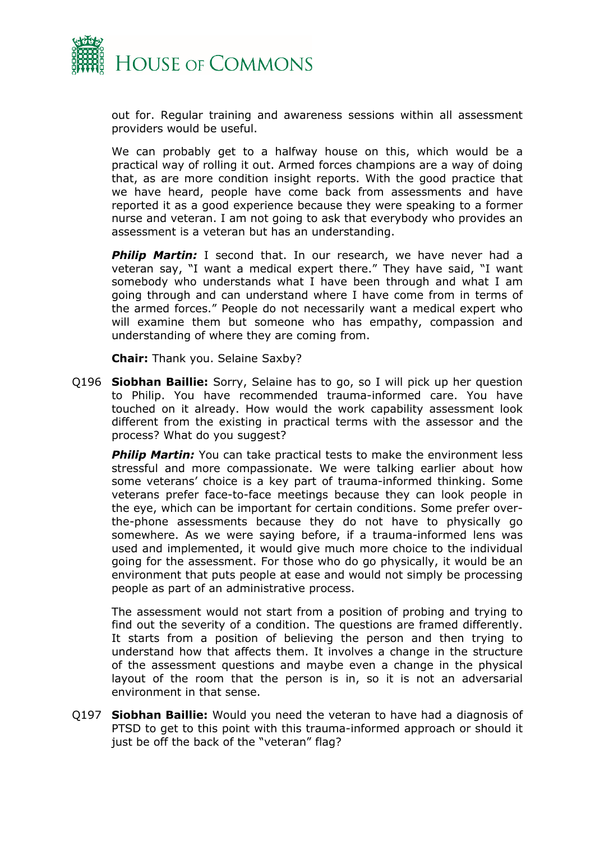

out for. Regular training and awareness sessions within all assessment providers would be useful.

We can probably get to a halfway house on this, which would be a practical way of rolling it out. Armed forces champions are a way of doing that, as are more condition insight reports. With the good practice that we have heard, people have come back from assessments and have reported it as a good experience because they were speaking to a former nurse and veteran. I am not going to ask that everybody who provides an assessment is a veteran but has an understanding.

**Philip Martin:** I second that. In our research, we have never had a veteran say, "I want a medical expert there." They have said, "I want somebody who understands what I have been through and what I am going through and can understand where I have come from in terms of the armed forces." People do not necessarily want a medical expert who will examine them but someone who has empathy, compassion and understanding of where they are coming from.

**Chair:** Thank you. Selaine Saxby?

Q196 **Siobhan Baillie:** Sorry, Selaine has to go, so I will pick up her question to Philip. You have recommended trauma-informed care. You have touched on it already. How would the work capability assessment look different from the existing in practical terms with the assessor and the process? What do you suggest?

**Philip Martin:** You can take practical tests to make the environment less stressful and more compassionate. We were talking earlier about how some veterans' choice is a key part of trauma-informed thinking. Some veterans prefer face-to-face meetings because they can look people in the eye, which can be important for certain conditions. Some prefer overthe-phone assessments because they do not have to physically go somewhere. As we were saying before, if a trauma-informed lens was used and implemented, it would give much more choice to the individual going for the assessment. For those who do go physically, it would be an environment that puts people at ease and would not simply be processing people as part of an administrative process.

The assessment would not start from a position of probing and trying to find out the severity of a condition. The questions are framed differently. It starts from a position of believing the person and then trying to understand how that affects them. It involves a change in the structure of the assessment questions and maybe even a change in the physical layout of the room that the person is in, so it is not an adversarial environment in that sense.

Q197 **Siobhan Baillie:** Would you need the veteran to have had a diagnosis of PTSD to get to this point with this trauma-informed approach or should it just be off the back of the "veteran" flag?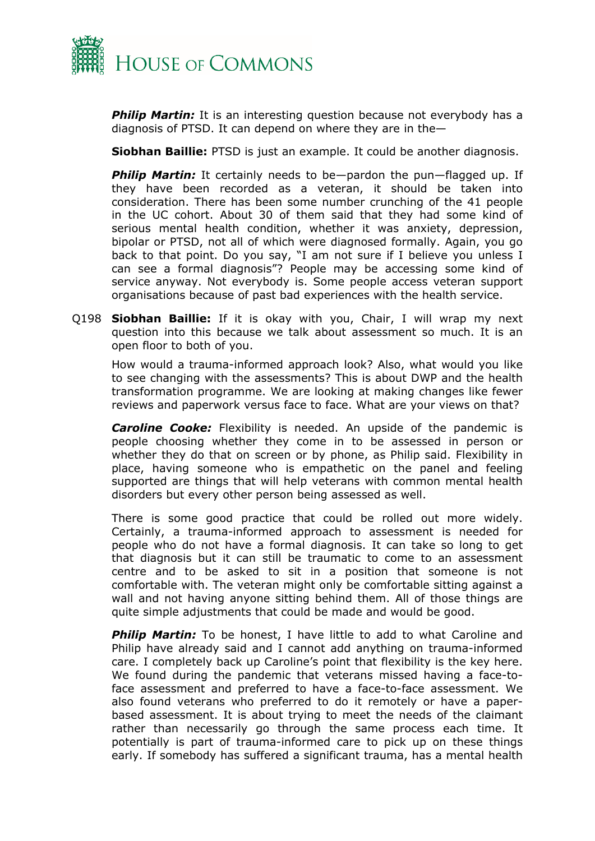

**Philip Martin:** It is an interesting question because not everybody has a diagnosis of PTSD. It can depend on where they are in the—

**Siobhan Baillie:** PTSD is just an example. It could be another diagnosis.

*Philip Martin:* It certainly needs to be—pardon the pun—flagged up. If they have been recorded as a veteran, it should be taken into consideration. There has been some number crunching of the 41 people in the UC cohort. About 30 of them said that they had some kind of serious mental health condition, whether it was anxiety, depression, bipolar or PTSD, not all of which were diagnosed formally. Again, you go back to that point. Do you say, "I am not sure if I believe you unless I can see a formal diagnosis"? People may be accessing some kind of service anyway. Not everybody is. Some people access veteran support organisations because of past bad experiences with the health service.

Q198 **Siobhan Baillie:** If it is okay with you, Chair, I will wrap my next question into this because we talk about assessment so much. It is an open floor to both of you.

How would a trauma-informed approach look? Also, what would you like to see changing with the assessments? This is about DWP and the health transformation programme. We are looking at making changes like fewer reviews and paperwork versus face to face. What are your views on that?

*Caroline Cooke:* Flexibility is needed. An upside of the pandemic is people choosing whether they come in to be assessed in person or whether they do that on screen or by phone, as Philip said. Flexibility in place, having someone who is empathetic on the panel and feeling supported are things that will help veterans with common mental health disorders but every other person being assessed as well.

There is some good practice that could be rolled out more widely. Certainly, a trauma-informed approach to assessment is needed for people who do not have a formal diagnosis. It can take so long to get that diagnosis but it can still be traumatic to come to an assessment centre and to be asked to sit in a position that someone is not comfortable with. The veteran might only be comfortable sitting against a wall and not having anyone sitting behind them. All of those things are quite simple adjustments that could be made and would be good.

**Philip Martin:** To be honest, I have little to add to what Caroline and Philip have already said and I cannot add anything on trauma-informed care. I completely back up Caroline's point that flexibility is the key here. We found during the pandemic that veterans missed having a face-toface assessment and preferred to have a face-to-face assessment. We also found veterans who preferred to do it remotely or have a paperbased assessment. It is about trying to meet the needs of the claimant rather than necessarily go through the same process each time. It potentially is part of trauma-informed care to pick up on these things early. If somebody has suffered a significant trauma, has a mental health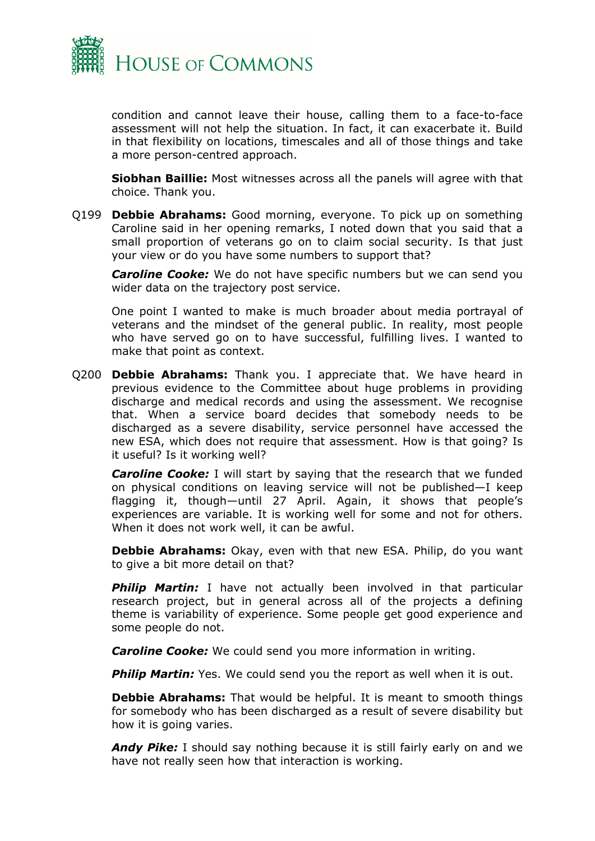

condition and cannot leave their house, calling them to a face-to-face assessment will not help the situation. In fact, it can exacerbate it. Build in that flexibility on locations, timescales and all of those things and take a more person-centred approach.

**Siobhan Baillie:** Most witnesses across all the panels will agree with that choice. Thank you.

Q199 **Debbie Abrahams:** Good morning, everyone. To pick up on something Caroline said in her opening remarks, I noted down that you said that a small proportion of veterans go on to claim social security. Is that just your view or do you have some numbers to support that?

*Caroline Cooke:* We do not have specific numbers but we can send you wider data on the trajectory post service.

One point I wanted to make is much broader about media portrayal of veterans and the mindset of the general public. In reality, most people who have served go on to have successful, fulfilling lives. I wanted to make that point as context.

Q200 **Debbie Abrahams:** Thank you. I appreciate that. We have heard in previous evidence to the Committee about huge problems in providing discharge and medical records and using the assessment. We recognise that. When a service board decides that somebody needs to be discharged as a severe disability, service personnel have accessed the new ESA, which does not require that assessment. How is that going? Is it useful? Is it working well?

*Caroline Cooke:* I will start by saying that the research that we funded on physical conditions on leaving service will not be published—I keep flagging it, though—until 27 April. Again, it shows that people's experiences are variable. It is working well for some and not for others. When it does not work well, it can be awful.

**Debbie Abrahams:** Okay, even with that new ESA. Philip, do you want to give a bit more detail on that?

**Philip Martin:** I have not actually been involved in that particular research project, but in general across all of the projects a defining theme is variability of experience. Some people get good experience and some people do not.

*Caroline Cooke:* We could send you more information in writing.

**Philip Martin:** Yes. We could send you the report as well when it is out.

**Debbie Abrahams:** That would be helpful. It is meant to smooth things for somebody who has been discharged as a result of severe disability but how it is going varies.

**Andy Pike:** I should say nothing because it is still fairly early on and we have not really seen how that interaction is working.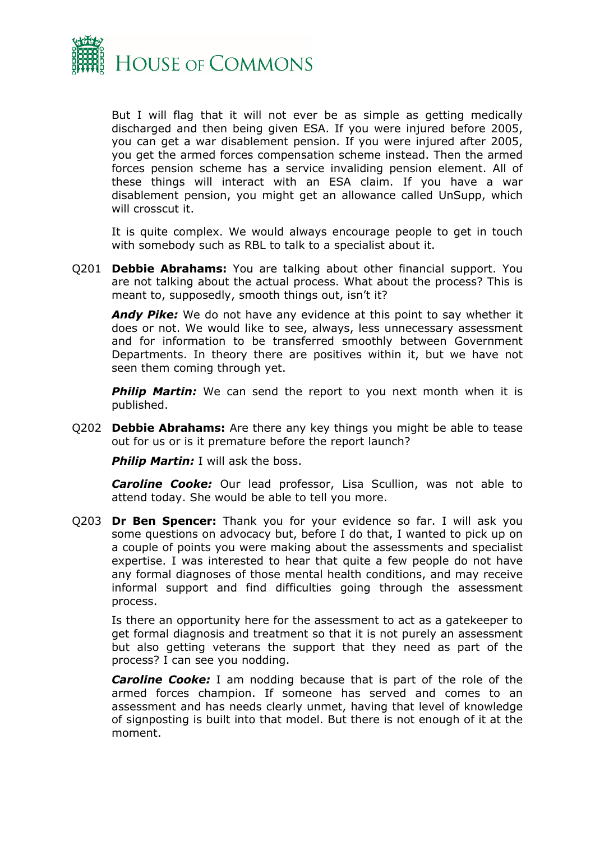

But I will flag that it will not ever be as simple as getting medically discharged and then being given ESA. If you were injured before 2005, you can get a war disablement pension. If you were injured after 2005, you get the armed forces compensation scheme instead. Then the armed forces pension scheme has a service invaliding pension element. All of these things will interact with an ESA claim. If you have a war disablement pension, you might get an allowance called UnSupp, which will crosscut it.

It is quite complex. We would always encourage people to get in touch with somebody such as RBL to talk to a specialist about it.

Q201 **Debbie Abrahams:** You are talking about other financial support. You are not talking about the actual process. What about the process? This is meant to, supposedly, smooth things out, isn't it?

*Andy Pike:* We do not have any evidence at this point to say whether it does or not. We would like to see, always, less unnecessary assessment and for information to be transferred smoothly between Government Departments. In theory there are positives within it, but we have not seen them coming through yet.

**Philip Martin:** We can send the report to you next month when it is published.

Q202 **Debbie Abrahams:** Are there any key things you might be able to tease out for us or is it premature before the report launch?

**Philip Martin:** I will ask the boss.

*Caroline Cooke:* Our lead professor, Lisa Scullion, was not able to attend today. She would be able to tell you more.

Q203 **Dr Ben Spencer:** Thank you for your evidence so far. I will ask you some questions on advocacy but, before I do that, I wanted to pick up on a couple of points you were making about the assessments and specialist expertise. I was interested to hear that quite a few people do not have any formal diagnoses of those mental health conditions, and may receive informal support and find difficulties going through the assessment process.

Is there an opportunity here for the assessment to act as a gatekeeper to get formal diagnosis and treatment so that it is not purely an assessment but also getting veterans the support that they need as part of the process? I can see you nodding.

*Caroline Cooke:* I am nodding because that is part of the role of the armed forces champion. If someone has served and comes to an assessment and has needs clearly unmet, having that level of knowledge of signposting is built into that model. But there is not enough of it at the moment.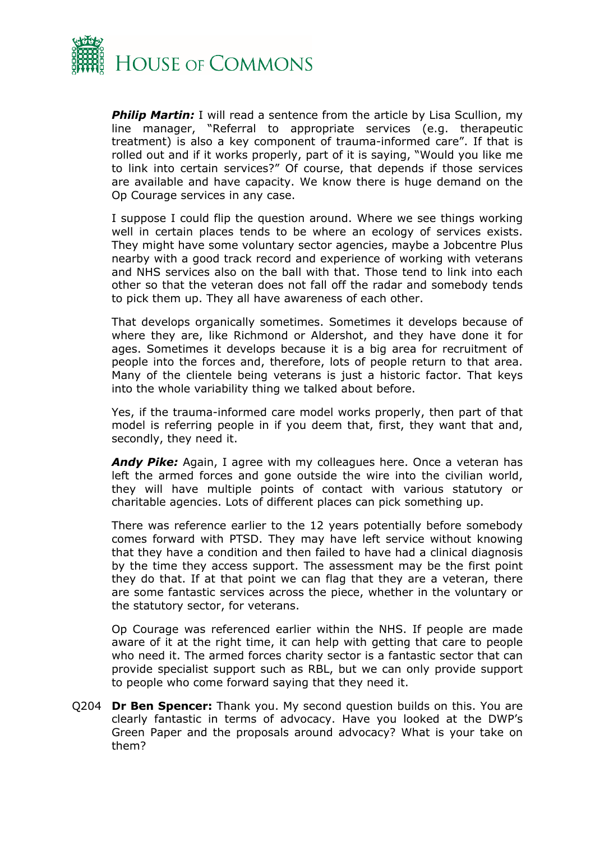

*Philip Martin:* I will read a sentence from the article by Lisa Scullion, my line manager, "Referral to appropriate services (e.g. therapeutic treatment) is also a key component of trauma-informed care". If that is rolled out and if it works properly, part of it is saying, "Would you like me to link into certain services?" Of course, that depends if those services are available and have capacity. We know there is huge demand on the Op Courage services in any case.

I suppose I could flip the question around. Where we see things working well in certain places tends to be where an ecology of services exists. They might have some voluntary sector agencies, maybe a Jobcentre Plus nearby with a good track record and experience of working with veterans and NHS services also on the ball with that. Those tend to link into each other so that the veteran does not fall off the radar and somebody tends to pick them up. They all have awareness of each other.

That develops organically sometimes. Sometimes it develops because of where they are, like Richmond or Aldershot, and they have done it for ages. Sometimes it develops because it is a big area for recruitment of people into the forces and, therefore, lots of people return to that area. Many of the clientele being veterans is just a historic factor. That keys into the whole variability thing we talked about before.

Yes, if the trauma-informed care model works properly, then part of that model is referring people in if you deem that, first, they want that and, secondly, they need it.

*Andy Pike:* Again, I agree with my colleagues here. Once a veteran has left the armed forces and gone outside the wire into the civilian world, they will have multiple points of contact with various statutory or charitable agencies. Lots of different places can pick something up.

There was reference earlier to the 12 years potentially before somebody comes forward with PTSD. They may have left service without knowing that they have a condition and then failed to have had a clinical diagnosis by the time they access support. The assessment may be the first point they do that. If at that point we can flag that they are a veteran, there are some fantastic services across the piece, whether in the voluntary or the statutory sector, for veterans.

Op Courage was referenced earlier within the NHS. If people are made aware of it at the right time, it can help with getting that care to people who need it. The armed forces charity sector is a fantastic sector that can provide specialist support such as RBL, but we can only provide support to people who come forward saying that they need it.

Q204 **Dr Ben Spencer:** Thank you. My second question builds on this. You are clearly fantastic in terms of advocacy. Have you looked at the DWP's Green Paper and the proposals around advocacy? What is your take on them?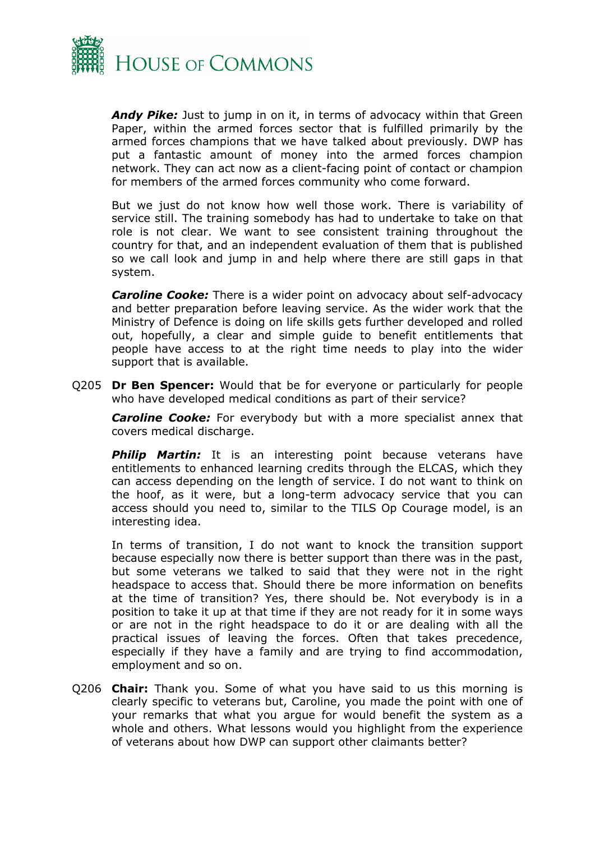

*Andy Pike:* Just to jump in on it, in terms of advocacy within that Green Paper, within the armed forces sector that is fulfilled primarily by the armed forces champions that we have talked about previously. DWP has put a fantastic amount of money into the armed forces champion network. They can act now as a client-facing point of contact or champion for members of the armed forces community who come forward.

But we just do not know how well those work. There is variability of service still. The training somebody has had to undertake to take on that role is not clear. We want to see consistent training throughout the country for that, and an independent evaluation of them that is published so we call look and jump in and help where there are still gaps in that system.

*Caroline Cooke:* There is a wider point on advocacy about self-advocacy and better preparation before leaving service. As the wider work that the Ministry of Defence is doing on life skills gets further developed and rolled out, hopefully, a clear and simple guide to benefit entitlements that people have access to at the right time needs to play into the wider support that is available.

Q205 **Dr Ben Spencer:** Would that be for everyone or particularly for people who have developed medical conditions as part of their service?

*Caroline Cooke:* For everybody but with a more specialist annex that covers medical discharge.

**Philip Martin:** It is an interesting point because veterans have entitlements to enhanced learning credits through the ELCAS, which they can access depending on the length of service. I do not want to think on the hoof, as it were, but a long-term advocacy service that you can access should you need to, similar to the TILS Op Courage model, is an interesting idea.

In terms of transition, I do not want to knock the transition support because especially now there is better support than there was in the past, but some veterans we talked to said that they were not in the right headspace to access that. Should there be more information on benefits at the time of transition? Yes, there should be. Not everybody is in a position to take it up at that time if they are not ready for it in some ways or are not in the right headspace to do it or are dealing with all the practical issues of leaving the forces. Often that takes precedence, especially if they have a family and are trying to find accommodation, employment and so on.

Q206 **Chair:** Thank you. Some of what you have said to us this morning is clearly specific to veterans but, Caroline, you made the point with one of your remarks that what you argue for would benefit the system as a whole and others. What lessons would you highlight from the experience of veterans about how DWP can support other claimants better?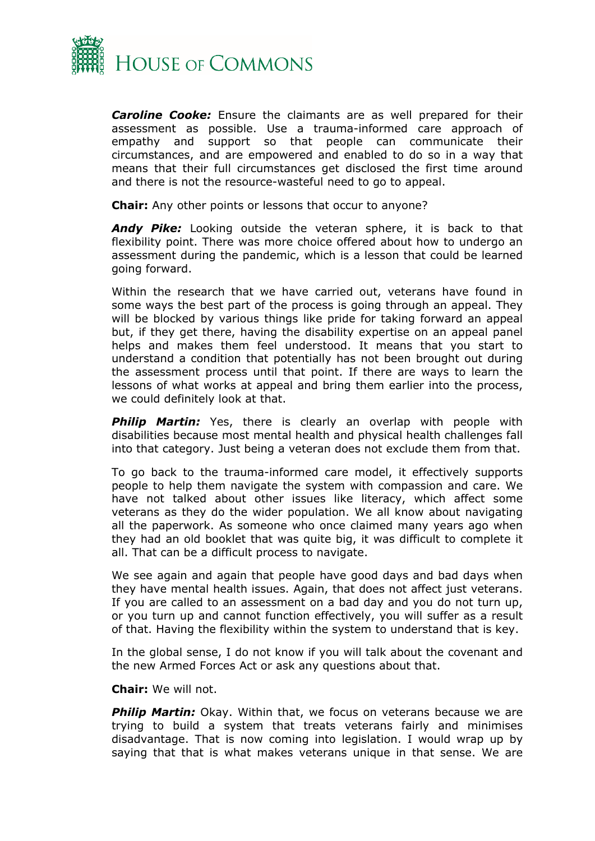

*Caroline Cooke:* Ensure the claimants are as well prepared for their assessment as possible. Use a trauma-informed care approach of empathy and support so that people can communicate their circumstances, and are empowered and enabled to do so in a way that means that their full circumstances get disclosed the first time around and there is not the resource-wasteful need to go to appeal.

**Chair:** Any other points or lessons that occur to anyone?

*Andy Pike:* Looking outside the veteran sphere, it is back to that flexibility point. There was more choice offered about how to undergo an assessment during the pandemic, which is a lesson that could be learned going forward.

Within the research that we have carried out, veterans have found in some ways the best part of the process is going through an appeal. They will be blocked by various things like pride for taking forward an appeal but, if they get there, having the disability expertise on an appeal panel helps and makes them feel understood. It means that you start to understand a condition that potentially has not been brought out during the assessment process until that point. If there are ways to learn the lessons of what works at appeal and bring them earlier into the process, we could definitely look at that.

**Philip Martin:** Yes, there is clearly an overlap with people with disabilities because most mental health and physical health challenges fall into that category. Just being a veteran does not exclude them from that.

To go back to the trauma-informed care model, it effectively supports people to help them navigate the system with compassion and care. We have not talked about other issues like literacy, which affect some veterans as they do the wider population. We all know about navigating all the paperwork. As someone who once claimed many years ago when they had an old booklet that was quite big, it was difficult to complete it all. That can be a difficult process to navigate.

We see again and again that people have good days and bad days when they have mental health issues. Again, that does not affect just veterans. If you are called to an assessment on a bad day and you do not turn up, or you turn up and cannot function effectively, you will suffer as a result of that. Having the flexibility within the system to understand that is key.

In the global sense, I do not know if you will talk about the covenant and the new Armed Forces Act or ask any questions about that.

**Chair:** We will not.

**Philip Martin:** Okay. Within that, we focus on veterans because we are trying to build a system that treats veterans fairly and minimises disadvantage. That is now coming into legislation. I would wrap up by saying that that is what makes veterans unique in that sense. We are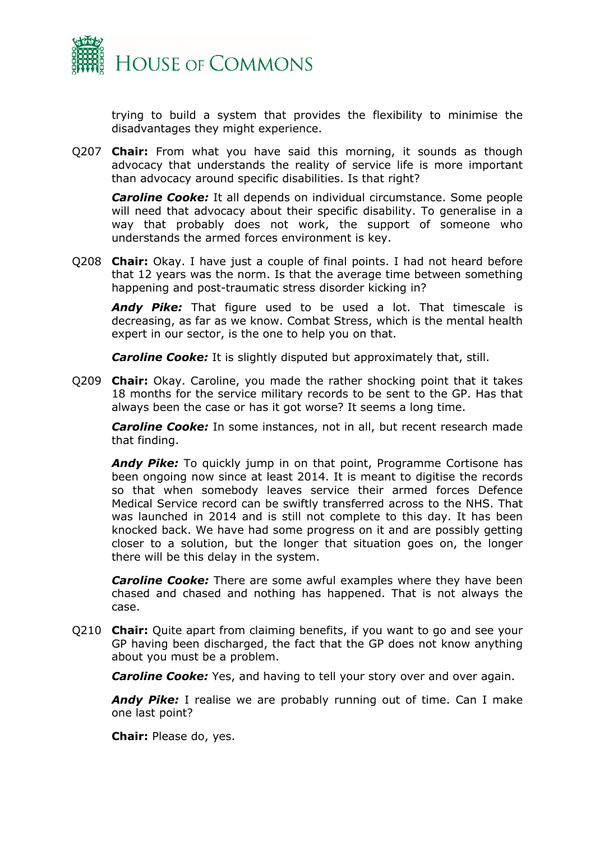

trying to build a system that provides the flexibility to minimise the disadvantages they might experience.

Q207 **Chair:** From what you have said this morning, it sounds as though advocacy that understands the reality of service life is more important than advocacy around specific disabilities. Is that right?

*Caroline Cooke:* It all depends on individual circumstance. Some people will need that advocacy about their specific disability. To generalise in a way that probably does not work, the support of someone who understands the armed forces environment is key.

Q208 **Chair:** Okay. I have just a couple of final points. I had not heard before that 12 years was the norm. Is that the average time between something happening and post-traumatic stress disorder kicking in?

*Andy Pike:* That figure used to be used a lot. That timescale is decreasing, as far as we know. Combat Stress, which is the mental health expert in our sector, is the one to help you on that.

*Caroline Cooke:* It is slightly disputed but approximately that, still.

Q209 **Chair:** Okay. Caroline, you made the rather shocking point that it takes 18 months for the service military records to be sent to the GP. Has that always been the case or has it got worse? It seems a long time.

*Caroline Cooke:* In some instances, not in all, but recent research made that finding.

**Andy Pike:** To quickly jump in on that point, Programme Cortisone has been ongoing now since at least 2014. It is meant to digitise the records so that when somebody leaves service their armed forces Defence Medical Service record can be swiftly transferred across to the NHS. That was launched in 2014 and is still not complete to this day. It has been knocked back. We have had some progress on it and are possibly getting closer to a solution, but the longer that situation goes on, the longer there will be this delay in the system.

*Caroline Cooke:* There are some awful examples where they have been chased and chased and nothing has happened. That is not always the case.

Q210 **Chair:** Quite apart from claiming benefits, if you want to go and see your GP having been discharged, the fact that the GP does not know anything about you must be a problem.

*Caroline Cooke:* Yes, and having to tell your story over and over again.

*Andy Pike:* I realise we are probably running out of time. Can I make one last point?

**Chair:** Please do, yes.